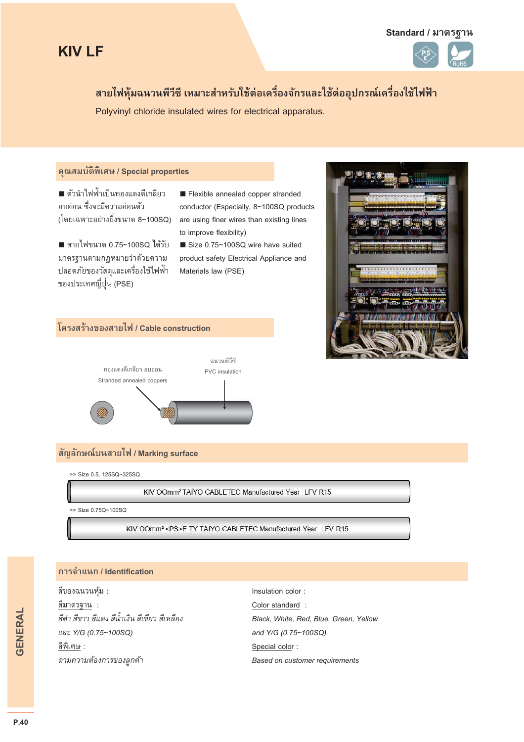#### **Standard / มาตรฐาน**





# ี สายไฟหุ้มฉนวนพีวีซี เหมาะสำหรับใช้ต่อเครื่องจักรและใช้ต่ออุปกรณ์เครื่องใช้ไฟฟ้า

Polyvinyl chloride insulated wires for electrical apparatus.

#### **คุณสมบัติพิเศษ / Special properties**

**■** ตัวนําไฟฟ้าเป็นทองแดงตีเกลียว ้อบอ่อน ซึ่งจะมีความอ่อนตัว (โดยเฉพาะอย่างยิ!งขนาด 8~100SQ)

**■** สายไฟขนาด 0.75~100SQ ได้รับ มาตรฐานตามกฎหมายว่าด้วยความ ปลอดภัยของวัสดุและเครื่องใช้ไฟฟ้า ของประเทศญี่ปุ่น (PSE)

■ Flexible annealed copper stranded conductor (Especially, 8~100SQ products are using finer wires than existing lines to improve flexibility)

■ Size 0.75~100SQ wire have suited product safety Electrical Appliance and Materials law (PSE)



### **โครงสร้างของสายไฟ / Cable construction**



## **สัญลักษณ์บนสายไฟ / Marking surface**

>> Size 0.5, 125SQ~325SQ

KIV OOmm<sup>2</sup> TAIYO CABLETEC Manufactured Year LFV R15

>> Size 0.75Q~100SQ

KIV OOmm<sup>2</sup> <PS>E TY TAIYO CABLETEC Manufactured Year LFV R15

#### **การจําแนก / Identification**

สีของฉนวนหุ้ม : Insulation color : สีมาตรฐาน : Color standard : *และ Y/G (0.75~100SQ) and Y/G (0.75~100SQ)*   $\frac{\partial^2 u}{\partial x^2}$  : Special color :

*สีดํา สีขาว สีแดง สีนําเงิน สีเขียว สีเหลือง Black, White, Red, Blue, Green, Yellow ตามความต้องการของลูกค้า Based on customer requirements*